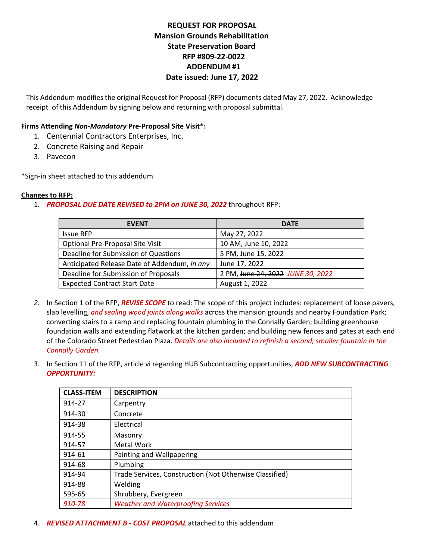## **REQUEST FOR PROPOSAL Mansion Grounds Rehabilitation State Preservation Board RFP #809‐22‐0022 ADDENDUM #1 Date issued: June 17, 2022**

This Addendum modifies the original Request for Proposal (RFP) documents dated May 27, 2022. Acknowledge receipt of this Addendum by signing below and returning with proposal submittal.

## **Firms Attending** *Non‐Mandatory* **Pre‐Proposal Site Visit\*:**

- 1. Centennial Contractors Enterprises, Inc.
- 2. Concrete Raising and Repair
- 3. Pavecon

\*Sign‐in sheet attached to this addendum

## **Changes to RFP:**

1. *PROPOSAL DUE DATE REVISED to 2PM on JUNE 30, 2022* throughout RFP:

| <b>EVENT</b>                                 | <b>DATE</b>                       |
|----------------------------------------------|-----------------------------------|
| <b>Issue RFP</b>                             | May 27, 2022                      |
| Optional Pre-Proposal Site Visit             | 10 AM, June 10, 2022              |
| Deadline for Submission of Questions         | 5 PM, June 15, 2022               |
| Anticipated Release Date of Addendum, in any | June 17, 2022                     |
| Deadline for Submission of Proposals         | 2 PM, June 24, 2022 JUNE 30, 2022 |
| <b>Expected Contract Start Date</b>          | August 1, 2022                    |

- *2.* In Section 1 of the RFP, *REVISE SCOPE* to read: The scope of this project includes: replacement of loose pavers, slab levelling, *and sealing wood joints along walks* across the mansion grounds and nearby Foundation Park; converting stairs to a ramp and replacing fountain plumbing in the Connally Garden; building greenhouse foundation walls and extending flatwork at the kitchen garden; and building new fences and gates at each end of the Colorado Street Pedestrian Plaza. *Details are also included to refinish a second, smaller fountain in the Connally Garden.*
- 3. In Section 11 of the RFP, article vi regarding HUB Subcontracting opportunities, *ADD NEW SUBCONTRACTING OPPORTUNITY:*

| <b>CLASS-ITEM</b> | <b>DESCRIPTION</b>                                      |
|-------------------|---------------------------------------------------------|
| 914-27            | Carpentry                                               |
| 914-30            | Concrete                                                |
| 914-38            | Electrical                                              |
| 914-55            | Masonry                                                 |
| 914-57            | Metal Work                                              |
| 914-61            | Painting and Wallpapering                               |
| 914-68            | Plumbing                                                |
| 914-94            | Trade Services, Construction (Not Otherwise Classified) |
| 914-88            | Welding                                                 |
| 595-65            | Shrubbery, Evergreen                                    |
| 910-78            | <b>Weather and Waterproofing Services</b>               |

4. *REVISED ATTACHMENT B ‐ COST PROPOSAL* attached to this addendum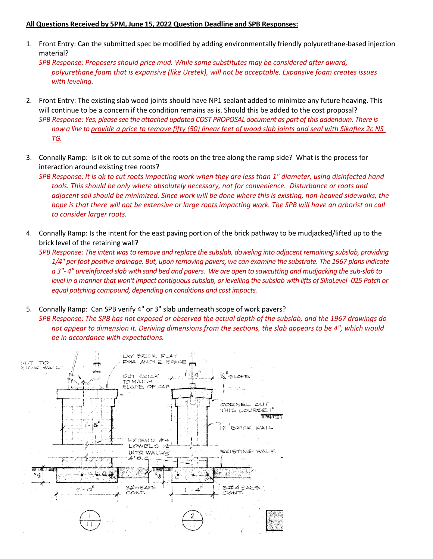## **All Questions Received by 5PM, June 15, 2022 Question Deadline and SPB Responses:**

1. Front Entry: Can the submitted spec be modified by adding environmentally friendly polyurethane‐based injection material?

*SPB Response: Proposers should price mud. While some substitutes may be considered after award, polyurethane foam that is expansive (like Uretek), will not be acceptable. Expansive foam creates issues with leveling.* 

- 2. Front Entry: The existing slab wood joints should have NP1 sealant added to minimize any future heaving. This will continue to be a concern if the condition remains as is. Should this be added to the cost proposal? *SPB Response: Yes, please see the attached updated COST PROPOSAL document as part of this addendum. There is now a line to provide a price to remove fifty (50) linear feet of wood slab joints and seal with Sikaflex 2c NS TG.*
- 3. Connally Ramp: Is it ok to cut some of the roots on the tree along the ramp side? What is the process for interaction around existing tree roots?

*SPB Response: It is ok to cut roots impacting work when they are less than 1" diameter, using disinfected hand tools. This should be only where absolutely necessary, not for convenience. Disturbance or roots and adjacent soil should be minimized. Since work will be done where this is existing, non‐heaved sidewalks, the hope is that there will not be extensive or large roots impacting work. The SPB will have an arborist on call to consider larger roots.* 

4. Connally Ramp: Is the intent for the east paving portion of the brick pathway to be mudjacked/lifted up to the brick level of the retaining wall?

*SPB Response: The intent was to remove and replace the subslab, doweling into adjacent remaining subslab, providing 1/4" per foot positive drainage. But, upon removing pavers, we can examine the substrate. The 1967 plans indicate a 3"‐ 4" unreinforced slab with sand bed and pavers. We are open to sawcutting and mudjacking the sub‐slab to level in a manner that won't impact contiguous subslab, or levelling the subslab with lifts of SikaLevel ‐025 Patch or*  equal patching compound, depending on conditions and cost impacts.

5. Connally Ramp: Can SPB verify 4" or 3" slab underneath scope of work pavers? *SPB Response: The SPB has not exposed or observed the actual depth of the subslab, and the 1967 drawings do not appear to dimension it. Deriving dimensions from the sections, the slab appears to be 4", which would be in accordance with expectations.* 

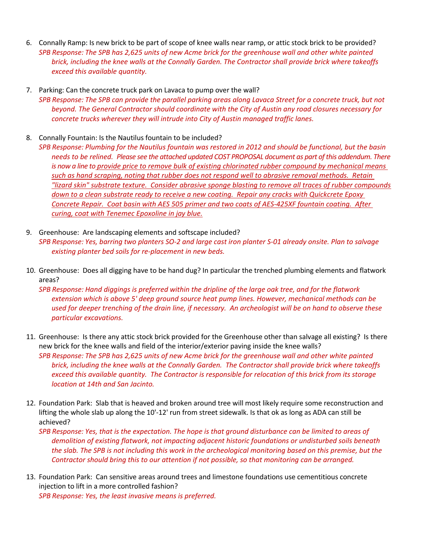- 6. Connally Ramp: Is new brick to be part of scope of knee walls near ramp, or attic stock brick to be provided? *SPB Response: The SPB has 2,625 units of new Acme brick for the greenhouse wall and other white painted brick, including the knee walls at the Connally Garden. The Contractor shall provide brick where takeoffs exceed this available quantity.*
- 7. Parking: Can the concrete truck park on Lavaca to pump over the wall? *SPB Response: The SPB can provide the parallel parking areas along Lavaca Street for a concrete truck, but not beyond. The General Contractor should coordinate with the City of Austin any road closures necessary for concrete trucks wherever they will intrude into City of Austin managed traffic lanes.*
- 8. Connally Fountain: Is the Nautilus fountain to be included?
- *SPB Response: Plumbing for the Nautilus fountain was restored in 2012 and should be functional, but the basin needs to be relined. Please see the attached updated COST PROPOSAL document as part of this addendum. There is now a line to provide price to remove bulk of existing chlorinated rubber compound by mechanical means such as hand scraping, noting that rubber does not respond well to abrasive removal methods. Retain "lizard skin" substrate texture. Consider abrasive sponge blasting to remove all traces of rubber compounds down to a clean substrate ready to receive a new coating. Repair any cracks with Quickcrete Epoxy Concrete Repair. Coat basin with AES 505 primer and two coats of AES‐425XF fountain coating. After curing, coat with Tenemec Epoxoline in jay blue.*
- 9. Greenhouse: Are landscaping elements and softscape included? *SPB Response: Yes, barring two planters SO‐2 and large cast iron planter S‐01 already onsite. Plan to salvage existing planter bed soils for re‐placement in new beds.*
- 10. Greenhouse: Does all digging have to be hand dug? In particular the trenched plumbing elements and flatwork areas?

*SPB Response: Hand diggings is preferred within the dripline of the large oak tree, and for the flatwork extension which is above 5' deep ground source heat pump lines. However, mechanical methods can be used for deeper trenching of the drain line, if necessary. An archeologist will be on hand to observe these particular excavations.* 

- 11. Greenhouse: Is there any attic stock brick provided for the Greenhouse other than salvage all existing? Is there new brick for the knee walls and field of the interior/exterior paving inside the knee walls? *SPB Response: The SPB has 2,625 units of new Acme brick for the greenhouse wall and other white painted brick, including the knee walls at the Connally Garden. The Contractor shall provide brick where takeoffs exceed this available quantity. The Contractor is responsible for relocation of this brick from its storage location at 14th and San Jacinto.*
- 12. Foundation Park: Slab that is heaved and broken around tree will most likely require some reconstruction and lifting the whole slab up along the 10'‐12' run from street sidewalk. Is that ok as long as ADA can still be achieved?
	- *SPB Response: Yes, that is the expectation. The hope is that ground disturbance can be limited to areas of demolition of existing flatwork, not impacting adjacent historic foundations or undisturbed soils beneath the slab. The SPB is not including this work in the archeological monitoring based on this premise, but the Contractor should bring this to our attention if not possible, so that monitoring can be arranged.*
- 13. Foundation Park: Can sensitive areas around trees and limestone foundations use cementitious concrete injection to lift in a more controlled fashion? *SPB Response: Yes, the least invasive means is preferred.*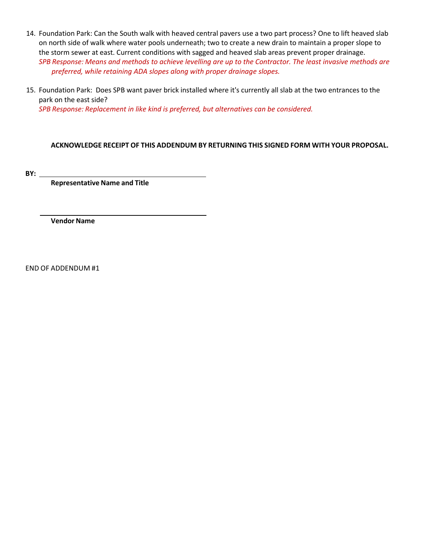- 14. Foundation Park: Can the South walk with heaved central pavers use a two part process? One to lift heaved slab on north side of walk where water pools underneath; two to create a new drain to maintain a proper slope to the storm sewer at east. Current conditions with sagged and heaved slab areas prevent proper drainage. *SPB Response: Means and methods to achieve levelling are up to the Contractor. The least invasive methods are preferred, while retaining ADA slopes along with proper drainage slopes.*
- 15. Foundation Park: Does SPB want paver brick installed where it's currently all slab at the two entrances to the park on the east side? *SPB Response: Replacement in like kind is preferred, but alternatives can be considered.*

## **ACKNOWLEDGE RECEIPT OF THIS ADDENDUM BY RETURNING THIS SIGNED FORM WITH YOUR PROPOSAL.**

**BY:** 

**Representative Name and Title**

**Vendor Name**

END OF ADDENDUM #1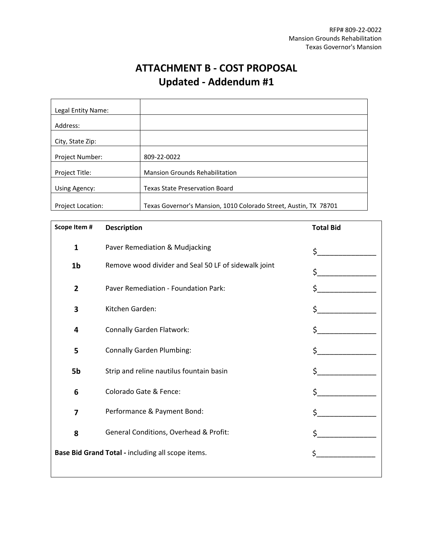# **ATTACHMENT B ‐ COST PROPOSAL Updated ‐ Addendum #1**

| Legal Entity Name:       |                                                                  |  |
|--------------------------|------------------------------------------------------------------|--|
| Address:                 |                                                                  |  |
| City, State Zip:         |                                                                  |  |
| Project Number:          | 809-22-0022                                                      |  |
| Project Title:           | <b>Mansion Grounds Rehabilitation</b>                            |  |
| Using Agency:            | <b>Texas State Preservation Board</b>                            |  |
|                          |                                                                  |  |
| <b>Project Location:</b> | Texas Governor's Mansion, 1010 Colorado Street, Austin, TX 78701 |  |

| Scope Item #                                      | <b>Description</b>                                   | <b>Total Bid</b> |
|---------------------------------------------------|------------------------------------------------------|------------------|
| $\mathbf{1}$                                      | Paver Remediation & Mudjacking                       | \$.              |
| 1 <sub>b</sub>                                    | Remove wood divider and Seal 50 LF of sidewalk joint | Ś.               |
| $\overline{2}$                                    | Paver Remediation - Foundation Park:                 |                  |
| 3                                                 | Kitchen Garden:                                      | \$.              |
| 4                                                 | <b>Connally Garden Flatwork:</b>                     | \$               |
| 5                                                 | <b>Connally Garden Plumbing:</b>                     |                  |
| 5b                                                | Strip and reline nautilus fountain basin             | Ś.               |
| 6                                                 | Colorado Gate & Fence:                               | Ś.               |
| 7                                                 | Performance & Payment Bond:                          | $\zeta$          |
| 8                                                 | General Conditions, Overhead & Profit:               | \$               |
| Base Bid Grand Total - including all scope items. |                                                      |                  |
|                                                   |                                                      |                  |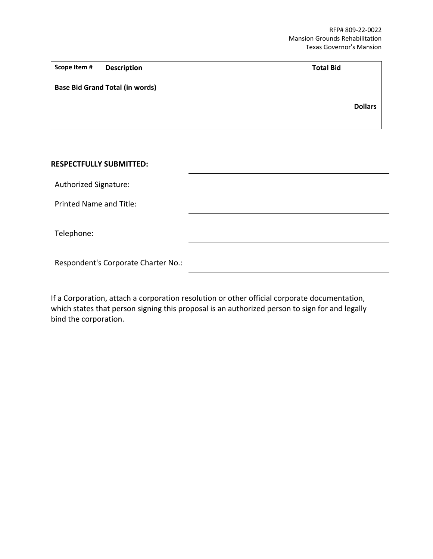| Scope Item # | <b>Description</b>                     | <b>Total Bid</b> |                |
|--------------|----------------------------------------|------------------|----------------|
|              | <b>Base Bid Grand Total (in words)</b> |                  |                |
|              |                                        |                  | <b>Dollars</b> |
|              |                                        |                  |                |

## **RESPECTFULLY SUBMITTED:**

Authorized Signature:

Printed Name and Title:

Telephone:

Respondent's Corporate Charter No.:

If a Corporation, attach a corporation resolution or other official corporate documentation, which states that person signing this proposal is an authorized person to sign for and legally bind the corporation.